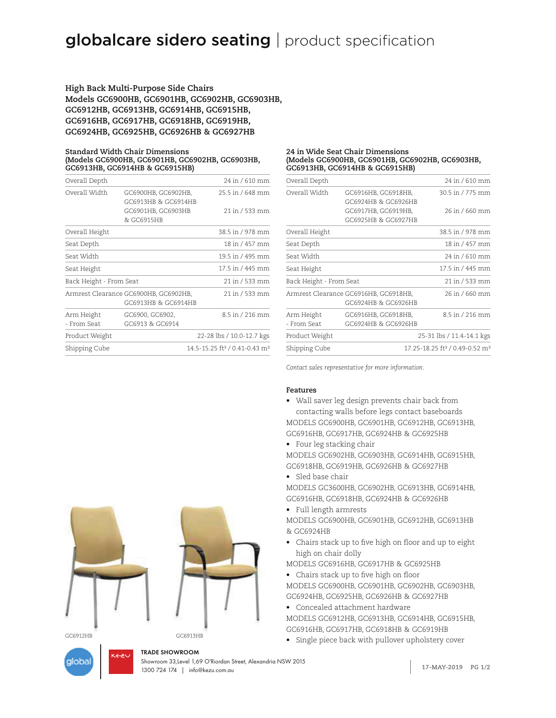**High Back Multi-Purpose Side Chairs Models GC6900HB, GC6901HB, GC6902HB, GC6903HB, GC6912HB, GC6913HB, GC6914HB, GC6915HB, GC6916HB, GC6917HB, GC6918HB, GC6919HB, GC6924HB, GC6925HB, GC6926HB & GC6927HB**

#### **Standard Width Chair Dimensions (Models GC6900HB, GC6901HB, GC6902HB, GC6903HB, GC6913HB, GC6914HB & GC6915HB)**

| Overall Depth                                                |                                            | 24 in / 610 mm                                        |
|--------------------------------------------------------------|--------------------------------------------|-------------------------------------------------------|
| Overall Width                                                | GC6900HB, GC6902HB,<br>GC6913HB & GC6914HB | 25.5 in / 648 mm                                      |
|                                                              | GC6901HB, GC6903HB<br>& GC6915HB           | 21 in / 533 mm                                        |
| Overall Height                                               |                                            | 38.5 in / 978 mm                                      |
| Seat Depth                                                   |                                            | 18 in / 457 mm                                        |
| Seat Width                                                   |                                            | 19.5 in / 495 mm                                      |
| Seat Height                                                  |                                            | 17.5 in / 445 mm                                      |
| Back Height - From Seat                                      |                                            | 21 in / 533 mm                                        |
| Armrest Clearance GC6900HB, GC6902HB,<br>GC6913HB & GC6914HB |                                            | 21 in / 533 mm                                        |
| Arm Height<br>- From Seat                                    | GC6900, GC6902,<br>GC6913 & GC6914         | 8.5 in / 216 mm                                       |
| Product Weight                                               |                                            | 22-28 lbs / 10.0-12.7 kgs                             |
| Shipping Cube                                                |                                            | 14.5-15.25 ft <sup>3</sup> / 0.41-0.43 m <sup>3</sup> |

#### **24 in Wide Seat Chair Dimensions (Models GC6900HB, GC6901HB, GC6902HB, GC6903HB, GC6913HB, GC6914HB & GC6915HB)**

| Overall Depth                                                |                                            | 24 in / 610 mm                                         |
|--------------------------------------------------------------|--------------------------------------------|--------------------------------------------------------|
| Overall Width                                                | GC6916HB, GC6918HB,<br>GC6924HB & GC6926HB | 30.5 in / 775 mm                                       |
|                                                              | GC6917HB, GC6919HB,<br>GC6925HB & GC6927HB | 26 in / 660 mm                                         |
| Overall Height                                               |                                            | 38.5 in / 978 mm                                       |
| Seat Depth                                                   |                                            | 18 in / 457 mm                                         |
| Seat Width                                                   |                                            | 24 in / 610 mm                                         |
| Seat Height                                                  |                                            | 17.5 in / 445 mm                                       |
| Back Height - From Seat                                      |                                            | 21 in / 533 mm                                         |
| Armrest Clearance GC6916HB, GC6918HB,<br>GC6924HB & GC6926HB |                                            | 26 in / 660 mm                                         |
| Arm Height<br>- From Seat                                    | GC6916HB, GC6918HB,<br>GC6924HB & GC6926HB | 8.5 in / 216 mm                                        |
| Product Weight                                               |                                            | 25-31 lbs / 11.4-14.1 kgs                              |
| Shipping Cube                                                |                                            | 17.25-18.25 ft <sup>3</sup> / 0.49-0.52 m <sup>3</sup> |
|                                                              |                                            |                                                        |

*Contact sales representative for more information.*

### **Features**

- Wall saver leg design prevents chair back from contacting walls before legs contact baseboards MODELS GC6900HB, GC6901HB, GC6912HB, GC6913HB, GC6916HB, GC6917HB, GC6924HB & GC6925HB
- Four leg stacking chair MODELS GC6902HB, GC6903HB, GC6914HB, GC6915HB, GC6918HB, GC6919HB, GC6926HB & GC6927HB
- Sled base chair
- MODELS GC3600HB, GC6902HB, GC6913HB, GC6914HB, GC6916HB, GC6918HB, GC6924HB & GC6926HB
- Full length armrests

MODELS GC6900HB, GC6901HB, GC6912HB, GC6913HB & GC6924HB

• Chairs stack up to five high on floor and up to eight high on chair dolly

MODELS GC6916HB, GC6917HB & GC6925HB

- Chairs stack up to five high on floor MODELS GC6900HB, GC6901HB, GC6902HB, GC6903HB,
- GC6924HB, GC6925HB, GC6926HB & GC6927HB • Concealed attachment hardware
- MODELS GC6912HB, GC6913HB, GC6914HB, GC6915HB, GC6916HB, GC6917HB, GC6918HB & GC6919HB
- Single piece back with pullover upholstery cover



aloba

GC6912HB GC6913HB

**1.800.724 174 | info@kezu.com.au 1300 724 174 | info@kezu.com.au 1300 724 17-MAY-2019** Showroom 33,Level 1,69 O'Riordan Street, Alexandria NSW 2015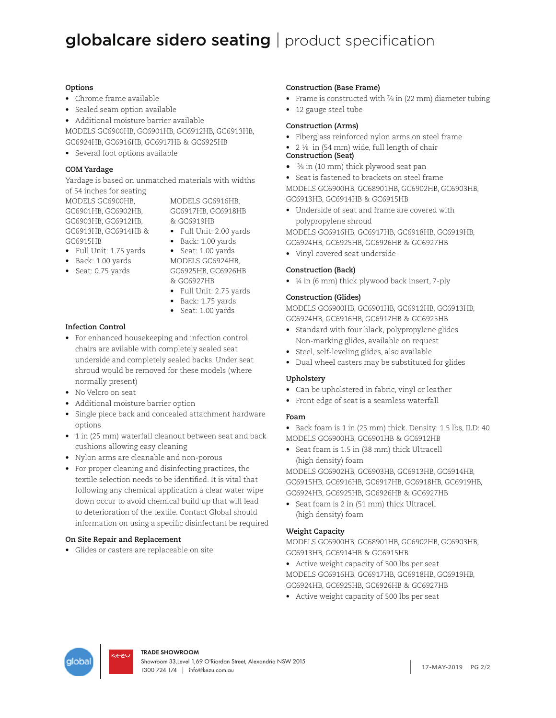## **Options**

- Chrome frame available
- Sealed seam option available
- Additional moisture barrier available

MODELS GC6900HB, GC6901HB, GC6912HB, GC6913HB, GC6924HB, GC6916HB, GC6917HB & GC6925HB

• Several foot options available

## **COM Yardage**

Yardage is based on unmatched materials with widths of 54 inches for seating

MODELS GC6900HB, GC6901HB, GC6902HB, GC6903HB, GC6912HB, GC6913HB, GC6914HB & GC6915HB

MODELS GC6916HB, GC6917HB, GC6918HB & GC6919HB

- Full Unit: 2.00 yards
- 
- Full Unit: 1.75 yards • Back: 1.00 yards
- Seat: 0.75 yards
- Back: 1.00 yards • Seat: 1.00 yards MODELS GC6924HB, GC6925HB, GC6926HB
- & GC6927HB • Full Unit: 2.75 yards
- Back: 1.75 yards
- Seat: 1.00 yards

## **Infection Control**

- For enhanced housekeeping and infection control, chairs are avilable with completely sealed seat underside and completely sealed backs. Under seat shroud would be removed for these models (where normally present)
- No Velcro on seat
- Additional moisture barrier option
- Single piece back and concealed attachment hardware options
- 1 in (25 mm) waterfall cleanout between seat and back cushions allowing easy cleaning
- Nylon arms are cleanable and non-porous
- For proper cleaning and disinfecting practices, the textile selection needs to be identified. It is vital that following any chemical application a clear water wipe down occur to avoid chemical build up that will lead to deterioration of the textile. Contact Global should information on using a specific disinfectant be required

# **On Site Repair and Replacement**

• Glides or casters are replaceable on site

# **Construction (Base Frame)**

- Frame is constructed with 7/8 in (22 mm) diameter tubing
- 12 gauge steel tube

## **Construction (Arms)**

- Fiberglass reinforced nylon arms on steel frame
- 2 1⁄8 in (54 mm) wide, full length of chair **Construction (Seat)**
- 3⁄8 in (10 mm) thick plywood seat pan
- Seat is fastened to brackets on steel frame

MODELS GC6900HB, GC68901HB, GC6902HB, GC6903HB, GC6913HB, GC6914HB & GC6915HB

• Underside of seat and frame are covered with polypropylene shroud

MODELS GC6916HB, GC6917HB, GC6918HB, GC6919HB, GC6924HB, GC6925HB, GC6926HB & GC6927HB

• Vinyl covered seat underside

## **Construction (Back)**

• ¼ in (6 mm) thick plywood back insert, 7-ply

## **Construction (Glides)**

MODELS GC6900HB, GC6901HB, GC6912HB, GC6913HB, GC6924HB, GC6916HB, GC6917HB & GC6925HB

- Standard with four black, polypropylene glides. Non-marking glides, available on request
- Steel, self-leveling glides, also available
- Dual wheel casters may be substituted for glides

# **Upholstery**

- Can be upholstered in fabric, vinyl or leather
- Front edge of seat is a seamless waterfall

# **Foam**

- Back foam is 1 in (25 mm) thick. Density: 1.5 lbs, ILD: 40 MODELS GC6900HB, GC6901HB & GC6912HB
- Seat foam is 1.5 in (38 mm) thick Ultracell (high density) foam

MODELS GC6902HB, GC6903HB, GC6913HB, GC6914HB, GC6915HB, GC6916HB, GC6917HB, GC6918HB, GC6919HB, GC6924HB, GC6925HB, GC6926HB & GC6927HB

• Seat foam is 2 in (51 mm) thick Ultracell (high density) foam

# **Weight Capacity**

MODELS GC6900HB, GC68901HB, GC6902HB, GC6903HB, GC6913HB, GC6914HB & GC6915HB

- Active weight capacity of 300 lbs per seat MODELS GC6916HB, GC6917HB, GC6918HB, GC6919HB, GC6924HB, GC6925HB, GC6926HB & GC6927HB
- Active weight capacity of 500 lbs per seat

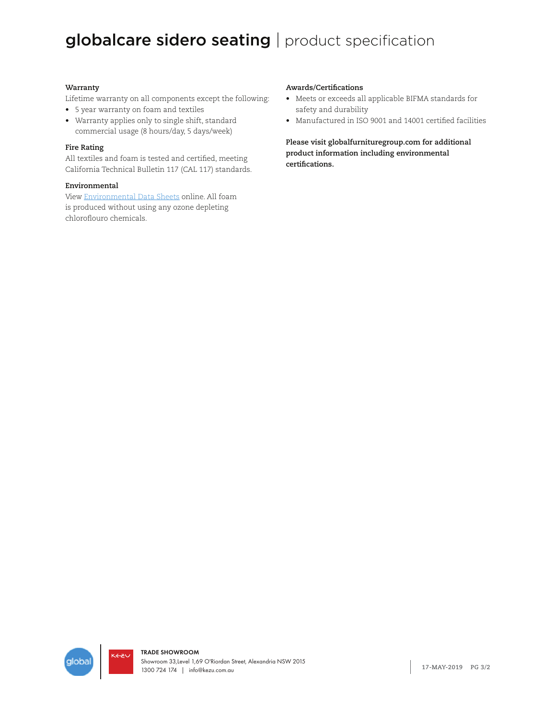## **Warranty**

Lifetime warranty on all components except the following:

- 5 year warranty on foam and textiles
- Warranty applies only to single shift, standard commercial usage (8 hours/day, 5 days/week)

## **Fire Rating**

All textiles and foam is tested and certified, meeting California Technical Bulletin 117 (CAL 117) standards.

## **Environmental**

View Environmental Data Sheets online. All foam is produced without using any ozone depleting chloroflouro chemicals.

## **Awards/Certifications**

- Meets or exceeds all applicable BIFMA standards for safety and durability
- Manufactured in ISO 9001 and 14001 certified facilities

**Please visit globalfurnituregroup.com for additional product information including environmental certifications.**

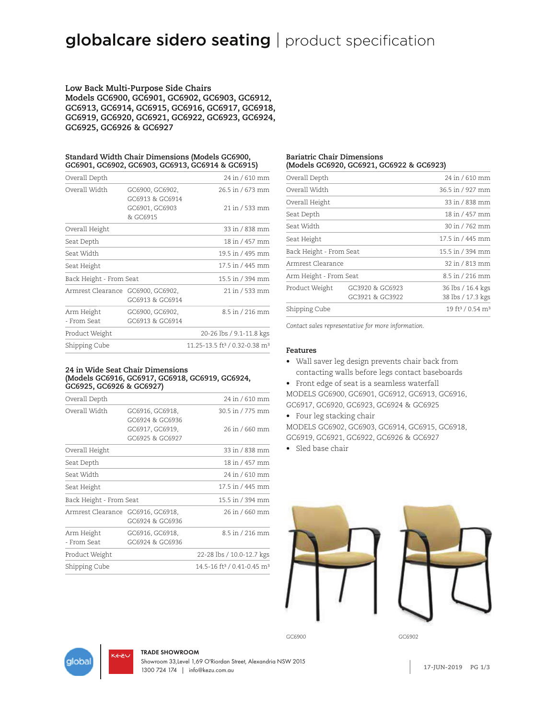**Low Back Multi-Purpose Side Chairs Models GC6900, GC6901, GC6902, GC6903, GC6912, GC6913, GC6914, GC6915, GC6916, GC6917, GC6918, GC6919, GC6920, GC6921, GC6922, GC6923, GC6924, GC6925, GC6926 & GC6927**

**Standard Width Chair Dimensions (Models GC6900, GC6901, GC6902, GC6903, GC6913, GC6914 & GC6915)**

| Overall Depth                     |                                    | 24 in / 610 mm                                        |
|-----------------------------------|------------------------------------|-------------------------------------------------------|
| Overall Width                     | GC6900, GC6902,<br>GC6913 & GC6914 | 26.5 in / 673 mm                                      |
|                                   | GC6901, GC6903<br>& GC6915         | 21 in / 533 mm                                        |
| Overall Height                    |                                    | 33 in / 838 mm                                        |
| Seat Depth                        |                                    | 18 in / 457 mm                                        |
| Seat Width                        |                                    | 19.5 in / 495 mm                                      |
| Seat Height                       |                                    | 17.5 in / 445 mm                                      |
| Back Height - From Seat           |                                    | 15.5 in / 394 mm                                      |
| Armrest Clearance GC6900, GC6902, | GC6913 & GC6914                    | 21 in / 533 mm                                        |
| Arm Height<br>- From Seat         | GC6900, GC6902,<br>GC6913 & GC6914 | 8.5 in / 216 mm                                       |
| Product Weight                    |                                    | 20-26 lbs / 9.1-11.8 kgs                              |
| Shipping Cube                     |                                    | 11.25-13.5 ft <sup>3</sup> / 0.32-0.38 m <sup>3</sup> |

#### **24 in Wide Seat Chair Dimensions (Models GC6916, GC6917, GC6918, GC6919, GC6924, GC6925, GC6926 & GC6927)**

| Overall Depth                     |                 | 24 in / 610 mm                                     |
|-----------------------------------|-----------------|----------------------------------------------------|
| Overall Width                     | GC6916, GC6918, | 30.5 in / 775 mm                                   |
|                                   | GC6924 & GC6936 |                                                    |
|                                   | GC6917, GC6919, | 26 in / 660 mm                                     |
|                                   | GC6925 & GC6927 |                                                    |
| Overall Height                    |                 | 33 in / 838 mm                                     |
| Seat Depth                        |                 | 18 in / 457 mm                                     |
| Seat Width                        |                 | 24 in / 610 mm                                     |
| Seat Height                       |                 | 17.5 in / 445 mm                                   |
| Back Height - From Seat           |                 | 15.5 in / 394 mm                                   |
| Armrest Clearance GC6916, GC6918, |                 | 26 in / 660 mm                                     |
|                                   | GC6924 & GC6936 |                                                    |
| Arm Height                        | GC6916, GC6918, | 8.5 in / 216 mm                                    |
| - From Seat                       | GC6924 & GC6936 |                                                    |
| Product Weight                    |                 | 22-28 lbs / 10.0-12.7 kgs                          |
| Shipping Cube                     |                 | 14.5-16 ft <sup>3</sup> / 0.41-0.45 m <sup>3</sup> |
|                                   |                 |                                                    |

#### **Bariatric Chair Dimensions (Models GC6920, GC6921, GC6922 & GC6923)**

| Overall Depth           |                                    | 24 in / 610 mm                           |
|-------------------------|------------------------------------|------------------------------------------|
| Overall Width           |                                    | 36.5 in / 927 mm                         |
| Overall Height          |                                    | 33 in / 838 mm                           |
| Seat Depth              |                                    | 18 in / 457 mm                           |
| Seat Width              |                                    | 30 in / 762 mm                           |
| Seat Height             |                                    | 17.5 in / 445 mm                         |
| Back Height - From Seat |                                    | 15.5 in / 394 mm                         |
| Armrest Clearance       |                                    | 32 in / 813 mm                           |
| Arm Height - From Seat  |                                    | 8.5 in / 216 mm                          |
| Product Weight          | GC3920 & GC6923<br>GC3921 & GC3922 | 36 lbs / 16.4 kgs<br>38 lbs / 17.3 kgs   |
| Shipping Cube           |                                    | 19 ft <sup>3</sup> / 0.54 m <sup>3</sup> |
|                         |                                    |                                          |

*Contact sales representative for more information.*

### **Features**

- Wall saver leg design prevents chair back from contacting walls before legs contact baseboards
- Front edge of seat is a seamless waterfall
- MODELS GC6900, GC6901, GC6912, GC6913, GC6916, GC6917, GC6920, GC6923, GC6924 & GC6925
- Four leg stacking chair
- MODELS GC6902, GC6903, GC6914, GC6915, GC6918, GC6919, GC6921, GC6922, GC6926 & GC6927
- Sled base chair







#### TRADE SHOWROOM

**1.800.724 174 | info@kezu.com.au <b>17-JUN-2019 PG 1/3** Showroom 33,Level 1,69 O'Riordan Street, Alexandria NSW 2015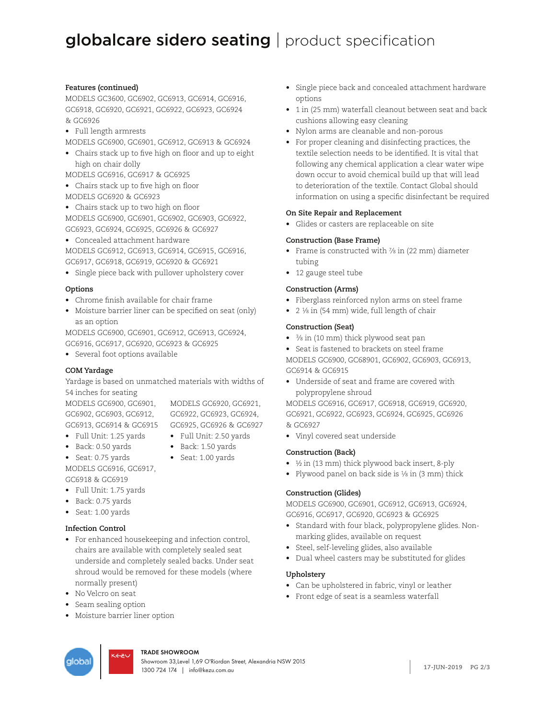## **Features (continued)**

MODELS GC3600, GC6902, GC6913, GC6914, GC6916, GC6918, GC6920, GC6921, GC6922, GC6923, GC6924 & GC6926

• Full length armrests

MODELS GC6900, GC6901, GC6912, GC6913 & GC6924

• Chairs stack up to five high on floor and up to eight high on chair dolly

MODELS GC6916, GC6917 & GC6925

- Chairs stack up to five high on floor MODELS GC6920 & GC6923
- Chairs stack up to two high on floor MODELS GC6900, GC6901, GC6902, GC6903, GC6922, GC6923, GC6924, GC6925, GC6926 & GC6927
- Concealed attachment hardware

MODELS GC6912, GC6913, GC6914, GC6915, GC6916, GC6917, GC6918, GC6919, GC6920 & GC6921

• Single piece back with pullover upholstery cover

## **Options**

- Chrome finish available for chair frame
- Moisture barrier liner can be specified on seat (only) as an option

MODELS GC6900, GC6901, GC6912, GC6913, GC6924, GC6916, GC6917, GC6920, GC6923 & GC6925

• Several foot options available

# **COM Yardage**

Yardage is based on unmatched materials with widths of 54 inches for seating

MODELS GC6900, GC6901, GC6902, GC6903, GC6912, GC6922, GC6923, GC6924, GC6913, GC6914 & GC6915 GC6925, GC6926 & GC6927

- MODELS GC6920, GC6921,
- Full Unit: 1.25 yards
- Back: 0.50 yards
- Full Unit: 2.50 yards • Back: 1.50 yards • Seat: 1.00 yards
- Seat: 0.75 yards MODELS GC6916, GC6917, GC6918 & GC6919
- Full Unit: 1.75 yards
- Back: 0.75 yards
- Seat: 1.00 yards

# **Infection Control**

- For enhanced housekeeping and infection control, chairs are available with completely sealed seat underside and completely sealed backs. Under seat shroud would be removed for these models (where normally present)
- No Velcro on seat
- Seam sealing option
- Moisture barrier liner option
- Single piece back and concealed attachment hardware options
- 1 in (25 mm) waterfall cleanout between seat and back cushions allowing easy cleaning
- Nylon arms are cleanable and non-porous
- For proper cleaning and disinfecting practices, the textile selection needs to be identified. It is vital that following any chemical application a clear water wipe down occur to avoid chemical build up that will lead to deterioration of the textile. Contact Global should information on using a specific disinfectant be required

## **On Site Repair and Replacement**

• Glides or casters are replaceable on site

## **Construction (Base Frame)**

- Frame is constructed with  $\frac{7}{8}$  in (22 mm) diameter tubing
- 12 gauge steel tube

## **Construction (Arms)**

- Fiberglass reinforced nylon arms on steel frame
- 2 1⁄8 in (54 mm) wide, full length of chair

# **Construction (Seat)**

- 3⁄8 in (10 mm) thick plywood seat pan
- Seat is fastened to brackets on steel frame

MODELS GC6900, GC68901, GC6902, GC6903, GC6913, GC6914 & GC6915

• Underside of seat and frame are covered with polypropylene shroud

MODELS GC6916, GC6917, GC6918, GC6919, GC6920, GC6921, GC6922, GC6923, GC6924, GC6925, GC6926 & GC6927

• Vinyl covered seat underside

# **Construction (Back)**

- ½ in (13 mm) thick plywood back insert, 8-ply
- Plywood panel on back side is 1/8 in (3 mm) thick

# **Construction (Glides)**

MODELS GC6900, GC6901, GC6912, GC6913, GC6924, GC6916, GC6917, GC6920, GC6923 & GC6925

- Standard with four black, polypropylene glides. Nonmarking glides, available on request
- Steel, self-leveling glides, also available
- Dual wheel casters may be substituted for glides

# **Upholstery**

- Can be upholstered in fabric, vinyl or leather
- Front edge of seat is a seamless waterfall



**1.800.724 174 | info@kezu.com.au 17-JUN-2019 PG 2/3** TRADE SHOWROOM Showroom 33,Level 1,69 O'Riordan Street, Alexandria NSW 2015